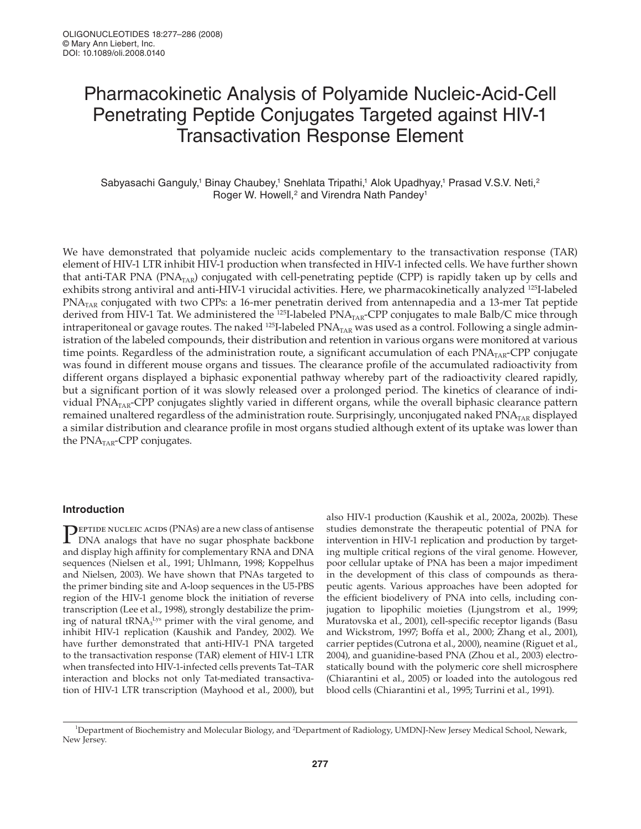# Pharmacokinetic Analysis of Polyamide Nucleic-Acid-Cell Penetrating Peptide Conjugates Targeted against HIV-1 Transactivation Response Element

Sabyasachi Ganguly,<sup>1</sup> Binay Chaubey,<sup>1</sup> Snehlata Tripathi,<sup>1</sup> Alok Upadhyay,<sup>1</sup> Prasad V.S.V. Neti,<sup>2</sup> Roger W. Howell,<sup>2</sup> and Virendra Nath Pandey<sup>1</sup>

We have demonstrated that polyamide nucleic acids complementary to the transactivation response (TAR) element of HIV-1 LTR inhibit HIV-1 production when transfected in HIV-1 infected cells. We have further shown that anti-TAR PNA (PNA<sub>TAR</sub>) conjugated with cell-penetrating peptide (CPP) is rapidly taken up by cells and exhibits strong antiviral and anti-HIV-1 virucidal activities. Here, we pharmacokinetically analyzed <sup>125</sup>I-labeled PNA<sub>TAR</sub> conjugated with two CPPs: a 16-mer penetratin derived from antennapedia and a 13-mer Tat peptide derived from HIV-1 Tat. We administered the <sup>125</sup>I-labeled PNA<sub>TAR</sub>-CPP conjugates to male Balb/C mice through intraperitoneal or gavage routes. The naked  $^{125}$ I-labeled PNA<sub>TAR</sub> was used as a control. Following a single administration of the labeled compounds, their distribution and retention in various organs were monitored at various time points. Regardless of the administration route, a significant accumulation of each  $PNA<sub>TAR</sub>-CPP$  conjugate was found in different mouse organs and tissues. The clearance profile of the accumulated radioactivity from different organs displayed a biphasic exponential pathway whereby part of the radioactivity cleared rapidly, but a significant portion of it was slowly released over a prolonged period. The kinetics of clearance of individual PNA<sub>TAR</sub>-CPP conjugates slightly varied in different organs, while the overall biphasic clearance pattern remained unaltered regardless of the administration route. Surprisingly, unconjugated naked PNA<sub>TAR</sub> displayed a similar distribution and clearance profile in most organs studied although extent of its uptake was lower than the  $PNA<sub>TAR</sub>-CPP$  conjugates.

## **Introduction**

**PEPTIDE NUCLEIC ACIDS (PNAs) are a new class of antisense**<br>DNA analogs that have no sugar phosphate backbone DNA analogs that have no sugar phosphate backbone and display high affinity for complementary RNA and DNA sequences (Nielsen et al., 1991; Uhlmann, 1998; Koppelhus and Nielsen, 2003). We have shown that PNAs targeted to the primer binding site and A-loop sequences in the U5-PBS region of the HIV-1 genome block the initiation of reverse transcription (Lee et al., 1998), strongly destabilize the priming of natural tRNA<sub>3</sub><sup>Lys</sup> primer with the viral genome, and inhibit HIV-1 replication (Kaushik and Pandey, 2002). We have further demonstrated that anti-HIV-1 PNA targeted to the transactivation response (TAR) element of HIV-1 LTR when transfected into HIV-1-infected cells prevents Tat–TAR interaction and blocks not only Tat-mediated transactivation of HIV-1 LTR transcription (Mayhood et al., 2000), but

also HIV-1 production (Kaushik et al., 2002a, 2002b). These studies demonstrate the therapeutic potential of PNA for intervention in HIV-1 replication and production by targeting multiple critical regions of the viral genome. However, poor cellular uptake of PNA has been a major impediment in the development of this class of compounds as therapeutic agents. Various approaches have been adopted for the efficient biodelivery of PNA into cells, including conjugation to lipophilic moieties (Ljungstrom et al., 1999; Muratovska et al., 2001), cell-specific receptor ligands (Basu and Wickstrom, 1997; Boffa et al., 2000; Zhang et al., 2001), carrier peptides (Cutrona et al., 2000), neamine (Riguet et al., 2004), and guanidine-based PNA (Zhou et al., 2003) electrostatically bound with the polymeric core shell microsphere (Chiarantini et al., 2005) or loaded into the autologous red blood cells (Chiarantini et al., 1995; Turrini et al., 1991).

<sup>1</sup>Department of Biochemistry and Molecular Biology, and <sup>2</sup>Department of Radiology, UMDNJ-New Jersey Medical School, Newark, New Jersey.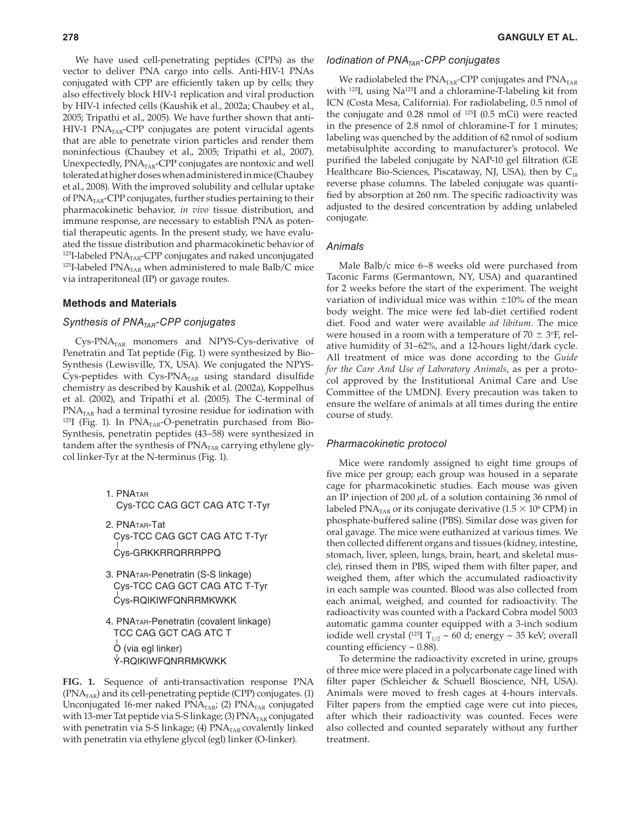We have used cell-penetrating peptides (CPPs) as the vector to deliver PNA cargo into cells. Anti-HIV-1 PNAs conjugated with CPP are efficiently taken up by cells; they also effectively block HIV-1 replication and viral production by HIV-1 infected cells (Kaushik et al., 2002a; Chaubey et al., 2005; Tripathi et al., 2005). We have further shown that anti- $HIV-1$  PNA<sub>TAR</sub>-CPP conjugates are potent virucidal agents that are able to penetrate virion particles and render them noninfectious (Chaubey et al., 2005; Tripathi et al., 2007). Unexpectedly, PNA<sub>TAR</sub>-CPP conjugates are nontoxic and well tolerated at higher doses when administered in mice (Chaubey et al., 2008). With the improved solubility and cellular uptake of  $\text{PNA}_{\text{TAR}}$ -CPP conjugates, further studies pertaining to their pharmacokinetic behavior*, in vivo* tissue distribution, and immune response, are necessary to establish PNA as potential therapeutic agents. In the present study, we have evaluated the tissue distribution and pharmacokinetic behavior of  $125$ I-labeled PNA<sub>TAR</sub>-CPP conjugates and naked unconjugated <sup>125</sup>I-labeled PNA<sub>TAR</sub> when administered to male Balb/C mice via intraperitoneal (IP) or gavage routes.

## **Methods and Materials**

# Synthesis of PNA<sub>TAR</sub>-CPP conjugates

 $Cys-PNA<sub>TAR</sub>$  monomers and NPYS-Cys-derivative of Penetratin and Tat peptide (Fig. 1) were synthesized by Bio-Synthesis (Lewisville, TX, USA). We conjugated the NPYS-Cys-peptides with Cys-PNA $_{\text{TAR}}$  using standard disulfide chemistry as described by Kaushik et al. (2002a), Koppelhus et al. (2002), and Tripathi et al. (2005). The C-terminal of  $PNA<sub>TAR</sub>$  had a terminal tyrosine residue for iodination with  $125$ I (Fig. 1). In PNA<sub>TAR</sub>-O-penetratin purchased from Bio-Synthesis, penetratin peptides (43–58) were synthesized in tandem after the synthesis of  $\text{PNA}_{\text{TAR}}$  carrying ethylene glycol linker-Tyr at the N-terminus (Fig. 1).

- 1. PNATAR Cys-TCC CAG GCT CAG ATC T-Tyr
- 2. PNATAR-Tat Cys-TCC CAG GCT CAG ATC T-Tyr Cys-GRKKRRQRRRPPQ
- 3. PNATAR-Penetratin (S-S linkage) Cys-TCC CAG GCT CAG ATC T-Tyr Cys-RQIKIWFQNRRMKWKK
- 4. PNATAR-Penetratin (covalent linkage) TCC CAG GCT CAG ATC T O (via egl linker) Y-RQIKIWFQNRRMKWKK

**FIG. 1.** Sequence of anti-transactivation response PNA  $(PNA<sub>TAR</sub>)$  and its cell-penetrating peptide (CPP) conjugates. (1) Unconjugated 16-mer naked  $PNA<sub>TAR</sub>$ ; (2)  $PNA<sub>TAR</sub>$  conjugated with 13-mer Tat peptide via S-S linkage; (3)  $\text{PNA}_{\text{TAR}}$  conjugated with penetratin via S-S linkage; (4)  $\text{PNA}_{\text{TAR}}$  covalently linked with penetratin via ethylene glycol (egl) linker (O-linker).

#### Iodination of  $PNA<sub>TAR</sub>$ -CPP conjugates

We radiolabeled the  $\text{PNA}_{\text{TAR}}$ -CPP conjugates and  $\text{PNA}_{\text{TAR}}$ with <sup>125</sup>I, using Na<sup>125</sup>I and a chloramine-T-labeling kit from ICN (Costa Mesa, California). For radiolabeling, 0.5 nmol of the conjugate and  $0.28$  nmol of  $^{125}I$  (0.5 mCi) were reacted in the presence of 2.8 nmol of chloramine-T for 1 minutes; labeling was quenched by the addition of 62 nmol of sodium metabisulphite according to manufacturer's protocol. We purified the labeled conjugate by NAP-10 gel filtration (GE Healthcare Bio-Sciences, Piscataway, NJ, USA), then by  $C_{18}$ reverse phase columns. The labeled conjugate was quantified by absorption at 260 nm. The specific radioactivity was adjusted to the desired concentration by adding unlabeled conjugate.

#### Animals

Male Balb/c mice 6-8 weeks old were purchased from Taconic Farms (Germantown, NY, USA) and quarantined for 2 weeks before the start of the experiment. The weight variation of individual mice was within  $\pm 10\%$  of the mean body weight. The mice were fed lab-diet certified rodent diet. Food and water were available *ad libitum*. The mice were housed in a room with a temperature of  $70 \pm 3$ °F, relative humidity of 31–62%, and a 12-hours light/dark cycle. All treatment of mice was done according to the *Guide for the Care And Use of Laboratory Animals*, as per a protocol approved by the Institutional Animal Care and Use Committee of the UMDNJ. Every precaution was taken to ensure the welfare of animals at all times during the entire course of study.

#### Pharmacokinetic protocol

Mice were randomly assigned to eight time groups of five mice per group; each group was housed in a separate cage for pharmacokinetic studies. Each mouse was given an IP injection of 200 *µ*L of a solution containing 36 nmol of labeled PNA $_{\rm {TAR}}$  or its conjugate derivative (1.5  $\times$  10 $^{\rm 6}$  CPM) in phosphate-buffered saline (PBS). Similar dose was given for oral gavage. The mice were euthanized at various times. We then collected different organs and tissues (kidney, intestine, stomach, liver, spleen, lungs, brain, heart, and skeletal muscle), rinsed them in PBS, wiped them with filter paper, and weighed them, after which the accumulated radioactivity in each sample was counted. Blood was also collected from each animal, weighed, and counted for radioactivity. The radioactivity was counted with a Packard Cobra model 5003 automatic gamma counter equipped with a 3-inch sodium iodide well crystal (<sup>125</sup>I T<sub>1/2</sub> ~ 60 d; energy ~ 35 keV; overall counting efficiency  $\sim$  0.88).

To determine the radioactivity excreted in urine, groups of three mice were placed in a polycarbonate cage lined with filter paper (Schleicher & Schuell Bioscience, NH, USA). Animals were moved to fresh cages at 4-hours intervals. Filter papers from the emptied cage were cut into pieces, after which their radioactivity was counted. Feces were also collected and counted separately without any further treatment.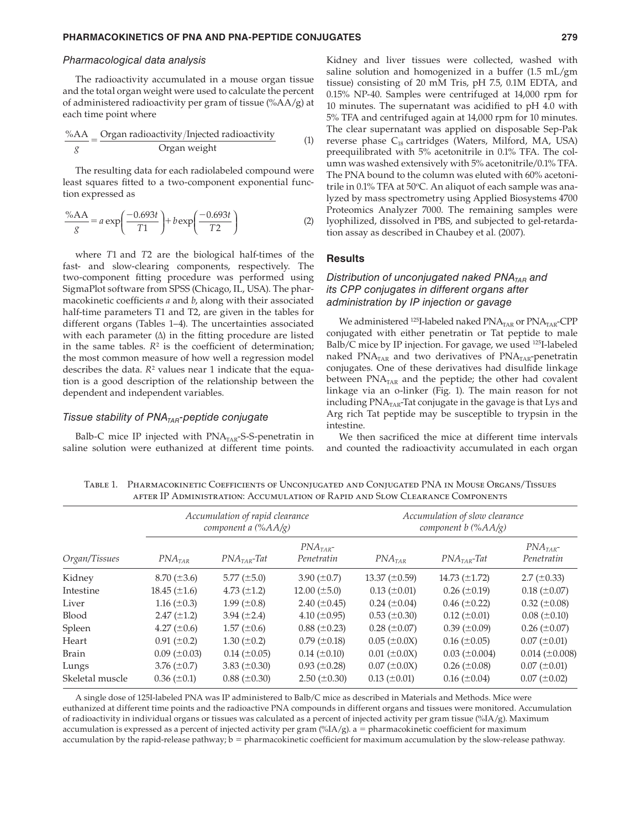#### Pharmacological data analysis

The radioactivity accumulated in a mouse organ tissue and the total organ weight were used to calculate the percent of administered radioactivity per gram of tissue (%AA/g) at each time point where

$$
\frac{\%AA}{g} = \frac{\text{Organ radioactivity}}{\text{Organ weight}} \tag{1}
$$

The resulting data for each radiolabeled compound were least squares fitted to a two-component exponential function expressed as

$$
\frac{\%AA}{g} = a \exp\left(\frac{-0.693t}{T1}\right) + b \exp\left(\frac{-0.693t}{T2}\right)
$$
 (2)

where *T*1 and *T*2 are the biological half-times of the fast- and slow-clearing components, respectively. The two-component fitting procedure was performed using SigmaPlot software from SPSS (Chicago, IL, USA). The pharmacokinetic coefficients *a* and *b*, along with their associated half-time parameters T1 and T2, are given in the tables for different organs (Tables 1–4). The uncertainties associated with each parameter  $(\Delta)$  in the fitting procedure are listed in the same tables.  $R^2$  is the coefficient of determination; the most common measure of how well a regression model describes the data.  $R^2$  values near 1 indicate that the equation is a good description of the relationship between the dependent and independent variables.

## Tissue stability of  $PNA<sub>TAR</sub>$ -peptide conjugate

Balb-C mice IP injected with  $\text{PNA}_{\text{TAR}}$ -S-S-penetratin in saline solution were euthanized at different time points.

Kidney and liver tissues were collected, washed with saline solution and homogenized in a buffer  $(1.5 \text{ mL/gm})$ tissue) consisting of 20 mM Tris, pH 7.5, 0.1M EDTA, and 0.15% NP-40. Samples were centrifuged at 14,000 rpm for 10 minutes. The supernatant was acidified to  $pH$  4.0 with 5% TFA and centrifuged again at 14,000 rpm for 10 minutes. The clear supernatant was applied on disposable Sep-Pak reverse phase  $C_{18}$  cartridges (Waters, Milford, MA, USA) preequilibrated with 5% acetonitrile in 0.1% TFA. The column was washed extensively with 5% acetonitrile/0.1% TFA. The PNA bound to the column was eluted with 60% acetonitrile in 0.1% TFA at 50 $\degree$ C. An aliquot of each sample was analyzed by mass spectrometry using Applied Biosystems 4700 Proteomics Analyzer 7000. The remaining samples were lyophilized, dissolved in PBS, and subjected to gel-retardation assay as described in Chaubey et al. (2007).

#### **Results**

## Distribution of unconjugated naked  $PNA<sub>TAR</sub>$  and its CPP conjugates in different organs after administration by IP injection or gavage

We administered  $^{125}$ I-labeled naked PNA<sub>TAR</sub> or PNA<sub>TAR</sub>-CPP conjugated with either penetratin or Tat peptide to male Balb/C mice by IP injection. For gavage, we used <sup>125</sup>I-labeled naked  $PNA<sub>TAR</sub>$  and two derivatives of  $PNA<sub>TAR</sub>$ -penetratin conjugates. One of these derivatives had disulfide linkage between  $\text{PNA}_{\text{TAR}}$  and the peptide; the other had covalent linkage via an o-linker (Fig. 1). The main reason for not including  $PNA<sub>TAR</sub>$ -Tat conjugate in the gavage is that Lys and Arg rich Tat peptide may be susceptible to trypsin in the intestine.

We then sacrificed the mice at different time intervals and counted the radioactivity accumulated in each organ

Table 1. Pharmacokinetic Coefficients of Unconjugated and Conjugated PNA in Mouse Organs/Tissues after IP Administration: Accumulation of Rapid and Slow Clearance Components

|                 |                      | Accumulation of rapid clearance<br>component a $(\%AA/\g)$ |                          | Accumulation of slow clearance<br>component $b$ (% $AA/g$ ) |                      |                          |  |
|-----------------|----------------------|------------------------------------------------------------|--------------------------|-------------------------------------------------------------|----------------------|--------------------------|--|
| Organ/Tissues   | $PNA$ <sub>TAR</sub> | $PNATAR-Tat$                                               | $PNATAR$ -<br>Penetratin | $PNA$ <sub>TAR</sub>                                        | $PNATAR$ -Tat        | $PNATAR$ -<br>Penetratin |  |
| Kidney          | $8.70 (\pm 3.6)$     | 5.77 $(\pm 5.0)$                                           | 3.90 $(\pm 0.7)$         | 13.37 $(\pm 0.59)$                                          | 14.73 $(\pm 1.72)$   | $2.7 (\pm 0.33)$         |  |
| Intestine       | 18.45 $(\pm 1.6)$    | 4.73 $(\pm 1.2)$                                           | $12.00 \ (\pm 5.0)$      | $0.13 \ (\pm 0.01)$                                         | $0.26 \ (\pm 0.19)$  | $0.18 (\pm 0.07)$        |  |
| Liver           | 1.16 $(\pm 0.3)$     | 1.99 $(\pm 0.8)$                                           | 2.40 $(\pm 0.45)$        | $0.24 (\pm 0.04)$                                           | $0.46 \ (\pm 0.22)$  | $0.32 \ (\pm 0.08)$      |  |
| Blood           | $2.47 \ (\pm 1.2)$   | 3.94 $(\pm 2.4)$                                           | 4.10 $(\pm 0.95)$        | $0.53 \ (\pm 0.30)$                                         | $0.12 \ (\pm 0.01)$  | $0.08 (\pm 0.10)$        |  |
| Spleen          | 4.27 $(\pm 0.6)$     | $1.57 \ (\pm 0.6)$                                         | $0.88 (\pm 0.23)$        | $0.28 (\pm 0.07)$                                           | $0.39 \ (\pm 0.09)$  | $0.26 (\pm 0.07)$        |  |
| Heart           | $0.91 (\pm 0.2)$     | 1.30 $(\pm 0.2)$                                           | $0.79 \ (\pm 0.18)$      | $0.05 (\pm 0.0 X)$                                          | $0.16 \ (\pm 0.05)$  | $0.07 (\pm 0.01)$        |  |
| <b>Brain</b>    | $0.09 \ (\pm 0.03)$  | $0.14 \ (\pm 0.05)$                                        | $0.14 \ (\pm 0.10)$      | $0.01 (\pm 0.0 X)$                                          | $0.03 \ (\pm 0.004)$ | $0.014 (\pm 0.008)$      |  |
| Lungs           | 3.76 $(\pm 0.7)$     | 3.83 $(\pm 0.30)$                                          | $0.93 \ (\pm 0.28)$      | $0.07 (\pm 0.0 X)$                                          | $0.26 \ (\pm 0.08)$  | $0.07 (\pm 0.01)$        |  |
| Skeletal muscle | $0.36 \ (\pm 0.1)$   | $0.88 (\pm 0.30)$                                          | $2.50 \ (\pm 0.30)$      | $0.13 \ (\pm 0.01)$                                         | $0.16 \ (\pm 0.04)$  | $0.07 (\pm 0.02)$        |  |

A single dose of 125I-labeled PNA was IP administered to Balb/C mice as described in Materials and Methods. Mice were euthanized at different time points and the radioactive PNA compounds in different organs and tissues were monitored. Accumulation of radioactivity in individual organs or tissues was calculated as a percent of injected activity per gram tissue (%IA/g). Maximum accumulation is expressed as a percent of injected activity per gram (%IA/g).  $a =$  pharmacokinetic coefficient for maximum accumulation by the rapid-release pathway;  $b =$  pharmacokinetic coefficient for maximum accumulation by the slow-release pathway.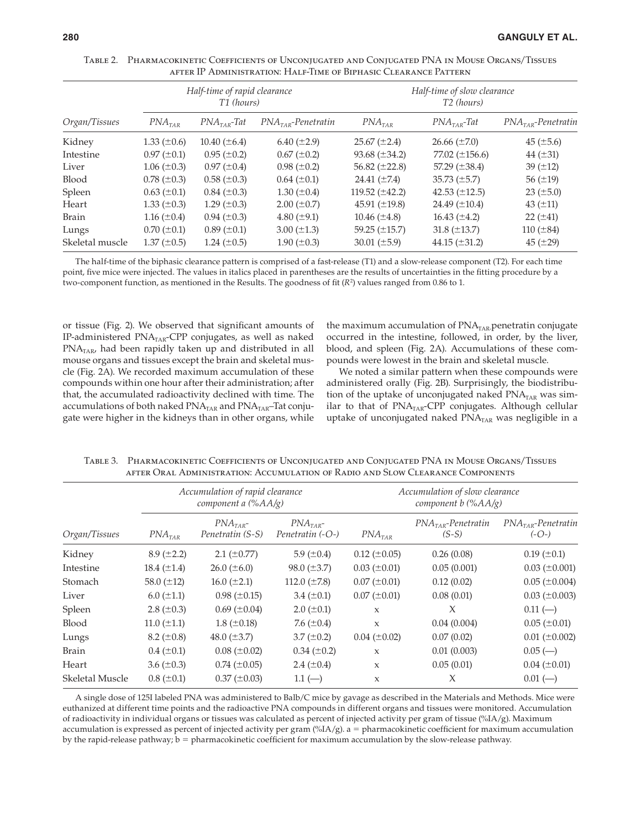| Organ/Tissues   | Half-time of rapid clearance<br>T1 (hours) |                    |                      | Half-time of slow clearance<br>T <sub>2</sub> (hours) |                     |                      |
|-----------------|--------------------------------------------|--------------------|----------------------|-------------------------------------------------------|---------------------|----------------------|
|                 | $PNA$ <sub>TAR</sub>                       | $PNATAR$ -Tat      | $PNATAR$ -Penetratin | $PNA$ <sub>TAR</sub>                                  | $PNATAR$ -Tat       | $PNATAR$ -Penetratin |
| Kidney          | 1.33 $(\pm 0.6)$                           | $10.40 (\pm 6.4)$  | $6.40 (\pm 2.9)$     | $25.67 (\pm 2.4)$                                     | $26.66 \ (\pm 7.0)$ | $45 (\pm 5.6)$       |
| Intestine       | $0.97 \ (\pm 0.1)$                         | $0.95 (\pm 0.2)$   | $0.67 (\pm 0.2)$     | 93.68 $(\pm 34.2)$                                    | 77.02 $(\pm 156.6)$ | 44 $(\pm 31)$        |
| Liver           | $1.06 (\pm 0.3)$                           | $0.97 (\pm 0.4)$   | $0.98 (\pm 0.2)$     | 56.82 $(\pm 22.8)$                                    | 57.29 $(\pm 38.4)$  | 39 $(\pm 12)$        |
| <b>Blood</b>    | $0.78 (\pm 0.3)$                           | $0.58 (\pm 0.3)$   | $0.64 (\pm 0.1)$     | 24.41 $(\pm 7.4)$                                     | 35.73 $(\pm 5.7)$   | 56 $(\pm 19)$        |
| Spleen          | $0.63 \ (\pm 0.1)$                         | $0.84 (\pm 0.3)$   | 1.30 $(\pm 0.4)$     | 119.52 $(\pm 42.2)$                                   | 42.53 $(\pm 12.5)$  | $23 (\pm 5.0)$       |
| Heart           | 1.33 $(\pm 0.3)$                           | 1.29 $(\pm 0.3)$   | $2.00 \ (\pm 0.7)$   | 45.91 $(\pm 19.8)$                                    | 24.49 $(\pm 10.4)$  | 43 $(\pm 11)$        |
| <b>Brain</b>    | 1.16 $(\pm 0.4)$                           | $0.94 (\pm 0.3)$   | 4.80 $(\pm 9.1)$     | 10.46 $(\pm 4.8)$                                     | 16.43 $(\pm 4.2)$   | $22 (\pm 41)$        |
| Lungs           | $0.70~(\pm 0.1)$                           | $0.89 \ (\pm 0.1)$ | 3.00 $(\pm 1.3)$     | 59.25 $(\pm 15.7)$                                    | 31.8 $(\pm 13.7)$   | 110 $(\pm 84)$       |
| Skeletal muscle | $1.37 (\pm 0.5)$                           | 1.24 $(\pm 0.5)$   | 1.90 $(\pm 0.3)$     | 30.01 $(\pm 5.9)$                                     | 44.15 $(\pm 31.2)$  | 45 $(\pm 29)$        |

Table 2. Pharmacokinetic Coefficients of Unconjugated and Conjugated PNA in Mouse Organs/Tissues after IP Administration: Half-Time of Biphasic Clearance Pattern

The half-time of the biphasic clearance pattern is comprised of a fast-release (T1) and a slow-release component (T2). For each time point, five mice were injected. The values in italics placed in parentheses are the results of uncertainties in the fitting procedure by a two-component function, as mentioned in the Results. The goodness of fit ( $R^2$ ) values ranged from 0.86 to 1.

or tissue (Fig. 2). We observed that significant amounts of IP-administered PNA<sub>TAR</sub>-CPP conjugates, as well as naked  $PNA<sub>TAR</sub>$ , had been rapidly taken up and distributed in all mouse organs and tissues except the brain and skeletal muscle (Fig. 2A). We recorded maximum accumulation of these compounds within one hour after their administration; after that, the accumulated radioactivity declined with time. The accumulations of both naked PNA<sub>TAR</sub> and PNA<sub>TAR</sub>-Tat conjugate were higher in the kidneys than in other organs, while

the maximum accumulation of PNA<sub>TAR-</sub>penetratin conjugate occurred in the intestine, followed, in order, by the liver, blood, and spleen (Fig. 2A). Accumulations of these compounds were lowest in the brain and skeletal muscle.

We noted a similar pattern when these compounds were administered orally (Fig. 2B). Surprisingly, the biodistribution of the uptake of unconjugated naked  $\text{PNA}_{\text{TAR}}$  was similar to that of PNA<sub>TAR</sub>-CPP conjugates. Although cellular uptake of unconjugated naked  $PNA<sub>TAR</sub>$  was negligible in a

| Organ/Tissues   |                      | Accumulation of rapid clearance<br>component a (%AA/g) |                                  | Accumulation of slow clearance<br>component b (%AA/g) |                                 |                                 |  |
|-----------------|----------------------|--------------------------------------------------------|----------------------------------|-------------------------------------------------------|---------------------------------|---------------------------------|--|
|                 | $PNA$ <sub>TAR</sub> | $PNATAR$ -<br>Penetratin (S-S)                         | $PNATAR$ -<br>Penetratin $(-O-)$ | $PNA$ <sub>TAR</sub>                                  | $PNATAR$ -Penetratin<br>$(S-S)$ | $PNATAR$ -Penetratin<br>$(-O-)$ |  |
| Kidney          | $8.9 (\pm 2.2)$      | $2.1 (\pm 0.77)$                                       | 5.9 $(\pm 0.4)$                  | $0.12 \ (\pm 0.05)$                                   | 0.26(0.08)                      | $0.19 \ (\pm 0.1)$              |  |
| Intestine       | 18.4 $(\pm 1.4)$     | $26.0 \ (\pm 6.0)$                                     | $98.0 \ (\pm 3.7)$               | $0.03 \ (\pm 0.01)$                                   | 0.05(0.001)                     | $0.03 \ (\pm 0.001)$            |  |
| Stomach         | 58.0 $(\pm 12)$      | $16.0 (\pm 2.1)$                                       | 112.0 $(\pm 7.8)$                | $0.07 (\pm 0.01)$                                     | 0.12(0.02)                      | $0.05 (\pm 0.004)$              |  |
| Liver           | $6.0 \ (\pm 1.1)$    | $0.98 (\pm 0.15)$                                      | 3.4 $(\pm 0.1)$                  | $0.07 (\pm 0.01)$                                     | 0.08(0.01)                      | $0.03 \ (\pm 0.003)$            |  |
| Spleen          | $2.8 (\pm 0.3)$      | $0.69 \ (\pm 0.04)$                                    | $2.0 \ (\pm 0.1)$                | X                                                     | $\chi$                          | $0.11$ (-)                      |  |
| Blood           | 11.0 $(\pm 1.1)$     | $1.8 \ (\pm 0.18)$                                     | 7.6 $(\pm 0.4)$                  | $\mathbf{x}$                                          | 0.04(0.004)                     | $0.05 (\pm 0.01)$               |  |
| Lungs           | $8.2 \ (\pm 0.8)$    | 48.0 $(\pm 3.7)$                                       | 3.7 $(\pm 0.2)$                  | $0.04 (\pm 0.02)$                                     | 0.07(0.02)                      | $0.01 (\pm 0.002)$              |  |
| Brain           | $0.4 \ (\pm 0.1)$    | $0.08 (\pm 0.02)$                                      | $0.34 \ (\pm 0.2)$               | X                                                     | 0.01(0.003)                     | $0.05$ (--)                     |  |
| Heart           | 3.6 $(\pm 0.3)$      | $0.74 \ (\pm 0.05)$                                    | 2.4 $(\pm 0.4)$                  | $\mathsf X$                                           | 0.05(0.01)                      | $0.04 (\pm 0.01)$               |  |
| Skeletal Muscle | $0.8 (\pm 0.1)$      | $0.37 (\pm 0.03)$                                      | $1.1$ (-)                        | X                                                     | X                               | $0.01$ (-)                      |  |

Table 3. Pharmacokinetic Coefficients of Unconjugated and Conjugated PNA in Mouse Organs/Tissues after Oral Administration: Accumulation of Radio and Slow Clearance Components

A single dose of 125I labeled PNA was administered to Balb/C mice by gavage as described in the Materials and Methods. Mice were euthanized at different time points and the radioactive PNA compounds in different organs and tissues were monitored. Accumulation of radioactivity in individual organs or tissues was calculated as percent of injected activity per gram of tissue (%IA/g). Maximum accumulation is expressed as percent of injected activity per gram  $(\%IA/g)$ . a = pharmacokinetic coefficient for maximum accumulation by the rapid-release pathway;  $b = pharmacokinetic coefficient for maximum accumulation by the slow-release pathway.$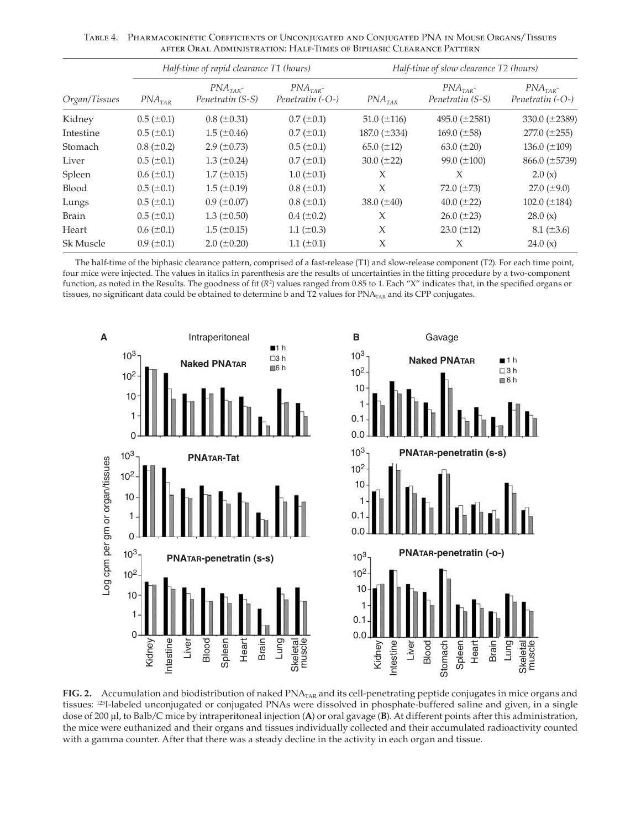Table 4. Pharmacokinetic Coefficients of Unconjugated and Conjugated PNA in Mouse Organs/Tissues after Oral Administration: Half-Times of Biphasic Clearance Pattern

|               |                      | Half-time of rapid clearance T1 (hours) |                                | Half-time of slow clearance T2 (hours) |                                |                                            |  |
|---------------|----------------------|-----------------------------------------|--------------------------------|----------------------------------------|--------------------------------|--------------------------------------------|--|
| Organ/Tissues | $PNA$ <sub>TAR</sub> | $PNATAR$ -<br>Penetratin (S-S)          | $PNATAR$ -<br>Penetratin (-O-) | $PNA$ <sub>TAR</sub>                   | $PNATAR$ -<br>Penetratin (S-S) | $PNA$ <sub>TAR</sub> -<br>Penetratin (-O-) |  |
| Kidney        | $0.5 (\pm 0.1)$      | $0.8 (\pm 0.31)$                        | $0.7 (\pm 0.1)$                | $51.0 (\pm 116)$                       | 495.0 $(\pm 2581)$             | 330.0 $(\pm 2389)$                         |  |
| Intestine     | $0.5 \ (\pm 0.1)$    | $1.5 \ (\pm 0.46)$                      | $0.7 (\pm 0.1)$                | 187.0 $(\pm 334)$                      | 169.0 $(\pm 58)$               | $277.0 (\pm 255)$                          |  |
| Stomach       | $0.8 (\pm 0.2)$      | 2.9 $(\pm 0.73)$                        | $0.5 (\pm 0.1)$                | 65.0 $(\pm 12)$                        | 63.0 $(\pm 20)$                | 136.0 $(\pm 109)$                          |  |
| Liver         | $0.5 (\pm 0.1)$      | $1.3 \ (\pm 0.24)$                      | $0.7 (\pm 0.1)$                | 30.0 $(\pm 22)$                        | 99.0 $(\pm 100)$               | $866.0 \ (\pm 5739)$                       |  |
| Spleen        | $0.6 (\pm 0.1)$      | $1.7 (\pm 0.15)$                        | $1.0 \ (\pm 0.1)$              | X                                      | X                              | 2.0(x)                                     |  |
| <b>Blood</b>  | $0.5 (\pm 0.1)$      | $1.5 \ (\pm 0.19)$                      | $0.8 (\pm 0.1)$                | $\chi$                                 | 72.0 $(\pm 73)$                | 27.0 $(\pm 9.0)$                           |  |
| Lungs         | $0.5 (\pm 0.1)$      | $0.9$ ( $\pm 0.07$ )                    | $0.8 (\pm 0.1)$                | 38.0 $(\pm 40)$                        | 40.0 $(\pm 22)$                | 102.0 $(\pm 184)$                          |  |
| <b>Brain</b>  | $0.5 \ (\pm 0.1)$    | $1.3 \ (\pm 0.50)$                      | $0.4~(\pm 0.2)$                | $\chi$                                 | $26.0 (\pm 23)$                | 28.0(x)                                    |  |
| Heart         | $0.6 \ (\pm 0.1)$    | $1.5 (\pm 0.15)$                        | 1.1 $(\pm 0.3)$                | X                                      | 23.0 $(\pm 12)$                | $8.1 (\pm 3.6)$                            |  |
| Sk Muscle     | $0.9 \ (\pm 0.1)$    | $2.0 \ (\pm 0.20)$                      | 1.1 $(\pm 0.1)$                | X                                      | X                              | 24.0(x)                                    |  |

The half-time of the biphasic clearance pattern, comprised of a fast-release (T1) and slow-release component (T2). For each time point, four mice were injected. The values in italics in parenthesis are the results of uncertainties in the fitting procedure by a two-component function, as noted in the Results. The goodness of fit (R<sup>2</sup>) values ranged from 0.85 to 1. Each "X" indicates that, in the specified organs or tissues, no significant data could be obtained to determine b and T2 values for PNA<sub>TAR</sub> and its CPP conjugates.



**FIG. 2.** Accumulation and biodistribution of naked PNA<sub>TAR</sub> and its cell-penetrating peptide conjugates in mice organs and tissues: <sup>125</sup>I-labeled unconjugated or conjugated PNAs were dissolved in phosphate-buffered saline and given, in a single dose of 200 µl, to Balb/C mice by intraperitoneal injection (**A**) or oral gavage (**B**). At different points after this administration, the mice were euthanized and their organs and tissues individually collected and their accumulated radioactivity counted with a gamma counter. After that there was a steady decline in the activity in each organ and tissue.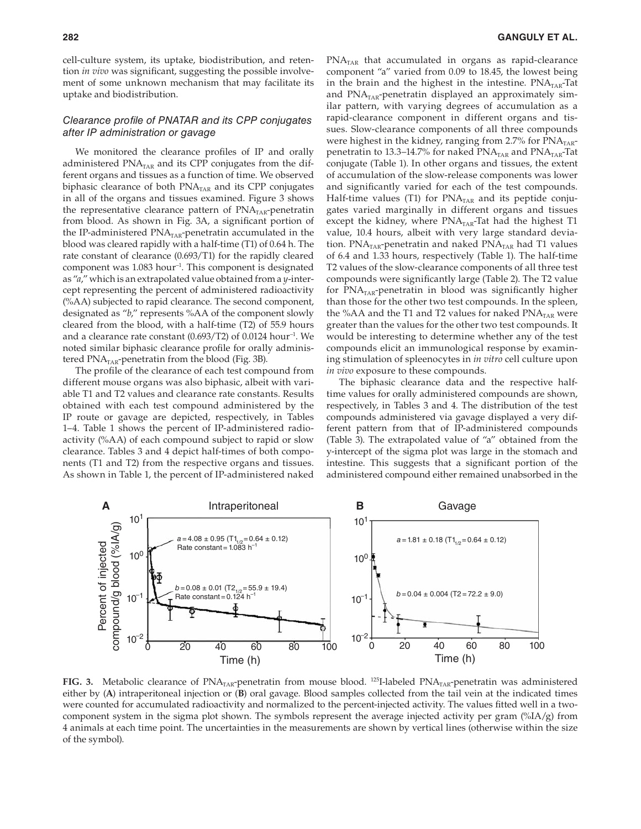cell-culture system, its uptake, biodistribution, and retention *in vivo* was significant, suggesting the possible involvement of some unknown mechanism that may facilitate its uptake and biodistribution.

## Clearance profile of PNATAR and its CPP conjugates after IP administration or gavage

We monitored the clearance profiles of IP and orally administered  $PNA<sub>TAR</sub>$  and its CPP conjugates from the different organs and tissues as a function of time. We observed biphasic clearance of both  $PNA<sub>TAR</sub>$  and its CPP conjugates in all of the organs and tissues examined. Figure 3 shows the representative clearance pattern of  $\text{PNA}_{\text{TAR}}$ -penetratin from blood. As shown in Fig. 3A, a significant portion of the IP-administered  $\text{PNA}_\text{TAR}\text{-} \text{penetration accumulated in the}$ blood was cleared rapidly with a half-time (T1) of 0.64 h. The rate constant of clearance (0.693/T1) for the rapidly cleared component was 1.083 hour–1. This component is designated as "*a*," which is an extrapolated value obtained from a *y*-intercept representing the percent of administered radioactivity (%AA) subjected to rapid clearance. The second component, designated as "*b*," represents %AA of the component slowly cleared from the blood, with a half-time (T2) of 55.9 hours and a clearance rate constant  $(0.693/T2)$  of 0.0124 hour<sup>-1</sup>. We noted similar biphasic clearance profile for orally administered  $\text{PNA}_{\text{TAR}}$ -penetratin from the blood (Fig. 3B).

The profile of the clearance of each test compound from different mouse organs was also biphasic, albeit with variable T1 and T2 values and clearance rate constants. Results obtained with each test compound administered by the IP route or gavage are depicted, respectively, in Tables 1–4. Table 1 shows the percent of IP-administered radioactivity (%AA) of each compound subject to rapid or slow clearance. Tables 3 and 4 depict half-times of both components (T1 and T2) from the respective organs and tissues. As shown in Table 1, the percent of IP-administered naked  $PNA<sub>TAR</sub>$  that accumulated in organs as rapid-clearance component "a" varied from 0.09 to 18.45, the lowest being in the brain and the highest in the intestine.  $PNA<sub>TAR</sub>$ -Tat and  $PNA<sub>TAR</sub>$ -penetratin displayed an approximately similar pattern, with varying degrees of accumulation as a rapid-clearance component in different organs and tissues. Slow-clearance components of all three compounds were highest in the kidney, ranging from 2.7% for  $\text{PNA}_{\text{TAR}}$ penetratin to 13.3–14.7% for naked  $\text{PNA}_{\text{TAR}}$  and  $\text{PNA}_{\text{TAR}}$ -Tat conjugate (Table 1). In other organs and tissues, the extent of accumulation of the slow-release components was lower and significantly varied for each of the test compounds. Half-time values (T1) for  $PNA<sub>TAR</sub>$  and its peptide conjugates varied marginally in different organs and tissues except the kidney, where  $PNA<sub>TAR</sub>$ -Tat had the highest T1 value, 10.4 hours, albeit with very large standard deviation.  $PNA<sub>TAR</sub>$ -penetratin and naked  $PNA<sub>TAR</sub>$  had T1 values of 6.4 and 1.33 hours, respectively (Table 1). The half-time T2 values of the slow-clearance components of all three test compounds were significantly large (Table 2). The T2 value for  $PNA<sub>TAR</sub>$ -penetratin in blood was significantly higher than those for the other two test compounds. In the spleen, the %AA and the T1 and T2 values for naked  $PNA<sub>TAR</sub>$  were greater than the values for the other two test compounds. It would be interesting to determine whether any of the test compounds elicit an immunological response by examining stimulation of spleenocytes in *in vitro* cell culture upon *in vivo* exposure to these compounds.

The biphasic clearance data and the respective halftime values for orally administered compounds are shown, respectively, in Tables 3 and 4. The distribution of the test compounds administered via gavage displayed a very different pattern from that of IP-administered compounds (Table 3). The extrapolated value of "a" obtained from the y-intercept of the sigma plot was large in the stomach and intestine. This suggests that a significant portion of the administered compound either remained unabsorbed in the



FIG. 3. Metabolic clearance of PNA<sub>TAR</sub>-penetratin from mouse blood. <sup>125</sup>I-labeled PNA<sub>TAR</sub>-penetratin was administered either by (**A**) intraperitoneal injection or (**B**) oral gavage. Blood samples collected from the tail vein at the indicated times were counted for accumulated radioactivity and normalized to the percent-injected activity. The values fitted well in a twocomponent system in the sigma plot shown. The symbols represent the average injected activity per gram (%IA/g) from 4 animals at each time point. The uncertainties in the measurements are shown by vertical lines (otherwise within the size of the symbol).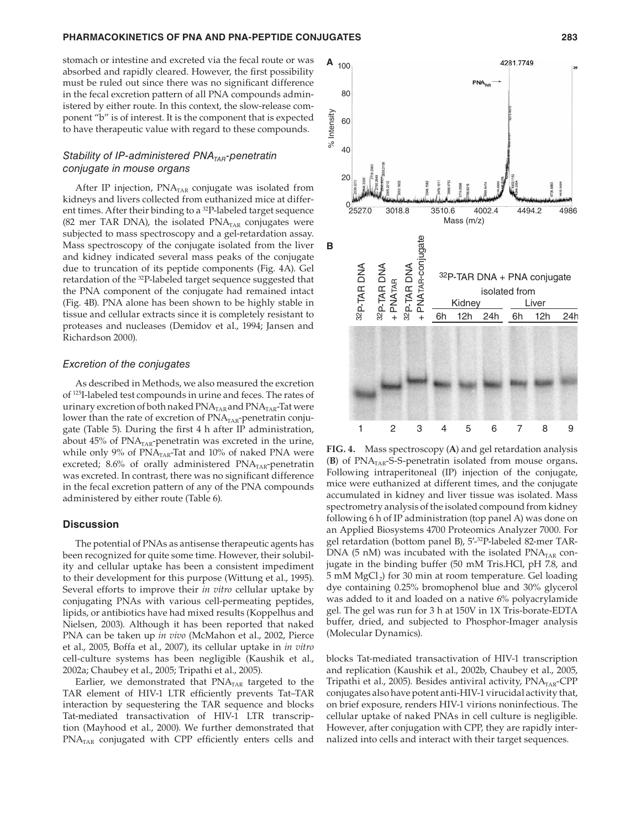#### **PHARMACOKINETICS OF PNA AND PNA-PEPTIDE CONJUGATES 283**

stomach or intestine and excreted via the fecal route or was absorbed and rapidly cleared. However, the first possibility must be ruled out since there was no significant difference in the fecal excretion pattern of all PNA compounds administered by either route. In this context, the slow-release component "b" is of interest. It is the component that is expected to have therapeutic value with regard to these compounds.

## Stability of IP-administered  $PNA<sub>TAR</sub>$ -penetratin conjugate in mouse organs

After IP injection,  $PNA<sub>TAR</sub>$  conjugate was isolated from kidneys and livers collected from euthanized mice at different times. After their binding to a <sup>32</sup>P-labeled target sequence (82 mer TAR DNA), the isolated  $PNA<sub>TAR</sub>$  conjugates were subjected to mass spectroscopy and a gel-retardation assay. Mass spectroscopy of the conjugate isolated from the liver and kidney indicated several mass peaks of the conjugate due to truncation of its peptide components (Fig. 4A). Gel retardation of the <sup>32</sup>P-labeled target sequence suggested that the PNA component of the conjugate had remained intact (Fig. 4B). PNA alone has been shown to be highly stable in tissue and cellular extracts since it is completely resistant to proteases and nucleases (Demidov et al., 1994; Jansen and Richardson 2000).

#### Excretion of the conjugates

As described in Methods, we also measured the excretion of <sup>125</sup>I-labeled test compounds in urine and feces. The rates of urinary excretion of both naked  $\text{PNA}_{\text{TAR}}$  and  $\text{PNA}_{\text{TAR}}$ -Tat were lower than the rate of excretion of  $\text{PNA}_{\text{TAR}}$ -penetratin conjugate (Table 5). During the first 4 h after IP administration, about  $45\%$  of  $PNA<sub>TAR</sub>$ -penetratin was excreted in the urine, while only 9% of  $PNA<sub>TAR</sub>$ -Tat and 10% of naked PNA were excreted; 8.6% of orally administered  $\text{PNA}_{\text{TAR}}$ -penetratin was excreted. In contrast, there was no significant difference in the fecal excretion pattern of any of the PNA compounds administered by either route (Table 6).

#### **Discussion**

The potential of PNAs as antisense therapeutic agents has been recognized for quite some time. However, their solubility and cellular uptake has been a consistent impediment to their development for this purpose (Wittung et al., 1995). Several efforts to improve their *in vitro* cellular uptake by conjugating PNAs with various cell-permeating peptides, lipids, or antibiotics have had mixed results (Koppelhus and Nielsen, 2003). Although it has been reported that naked PNA can be taken up *in vivo* (McMahon et al., 2002, Pierce et al., 2005, Boffa et al., 2007), its cellular uptake in *in vitro* cell-culture systems has been negligible (Kaushik et al., 2002a; Chaubey et al., 2005; Tripathi et al., 2005).

Earlier, we demonstrated that  $PNA<sub>TAR</sub>$  targeted to the TAR element of HIV-1 LTR efficiently prevents Tat-TAR interaction by sequestering the TAR sequence and blocks Tat-mediated transactivation of HIV-1 LTR transcription (Mayhood et al., 2000). We further demonstrated that  $PNA<sub>TAR</sub>$  conjugated with CPP efficiently enters cells and



**FIG. 4.** Mass spectroscopy (**A**) and gel retardation analysis (**B**) of PNA<sub>TAR</sub>-S-S-penetratin isolated from mouse organs. Following intraperitoneal (IP) injection of the conjugate, mice were euthanized at different times, and the conjugate accumulated in kidney and liver tissue was isolated. Mass spectrometry analysis of the isolated compound from kidney following 6 h of IP administration (top panel A) was done on an Applied Biosystems 4700 Proteomics Analyzer 7000. For gel retardation (bottom panel B), 5'-<sup>32</sup>P-labeled 82-mer TAR-DNA (5 nM) was incubated with the isolated  $PNA<sub>TAR</sub>$  conjugate in the binding buffer (50 mM Tris.HCl, pH 7.8, and 5 mM MgCl<sub>2</sub>) for 30 min at room temperature. Gel loading dye containing 0.25% bromophenol blue and 30% glycerol was added to it and loaded on a native 6% polyacrylamide gel. The gel was run for 3 h at 150V in 1X Tris-borate-EDTA buffer, dried, and subjected to Phosphor-Imager analysis (Molecular Dynamics).

blocks Tat-mediated transactivation of HIV-1 transcription and replication (Kaushik et al., 2002b, Chaubey et al., 2005, Tripathi et al., 2005). Besides antiviral activity,  $\text{PNA}_{\text{TAR}}$ -CPP conjugates also have potent anti-HIV-1 virucidal activity that, on brief exposure, renders HIV-1 virions noninfectious. The cellular uptake of naked PNAs in cell culture is negligible. However, after conjugation with CPP, they are rapidly internalized into cells and interact with their target sequences.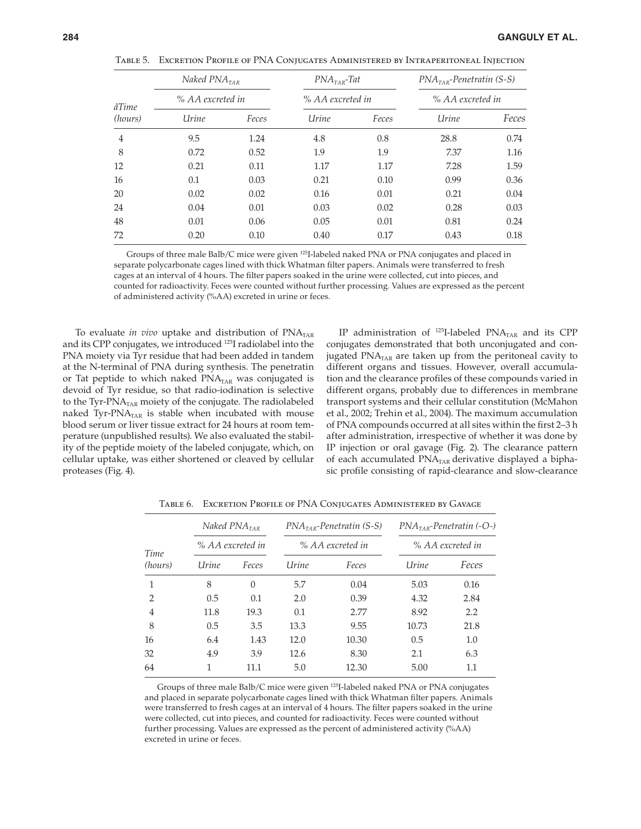|  | Table 5. Excretion Profile of PNA Coniugates Administered by Intraperitoneal Iniection |  |  |  |  |  |  |  |
|--|----------------------------------------------------------------------------------------|--|--|--|--|--|--|--|
|--|----------------------------------------------------------------------------------------|--|--|--|--|--|--|--|

| åTime<br>(hours) | Naked $PNA$ <sub>TAR</sub><br>% AA excreted in |       | $PNATAR$ -Tat    |       | $PNATAR$ -Penetratin (S-S)<br>% AA excreted in |       |  |
|------------------|------------------------------------------------|-------|------------------|-------|------------------------------------------------|-------|--|
|                  |                                                |       | % AA excreted in |       |                                                |       |  |
|                  | Urine                                          | Feces | Urine            | Feces | Urine                                          | Feces |  |
| $\overline{4}$   | 9.5                                            | 1.24  | 4.8              | 0.8   | 28.8                                           | 0.74  |  |
| 8                | 0.72                                           | 0.52  | 1.9              | 1.9   | 7.37                                           | 1.16  |  |
| 12               | 0.21                                           | 0.11  | 1.17             | 1.17  | 7.28                                           | 1.59  |  |
| 16               | 0.1                                            | 0.03  | 0.21             | 0.10  | 0.99                                           | 0.36  |  |
| 20               | 0.02                                           | 0.02  | 0.16             | 0.01  | 0.21                                           | 0.04  |  |
| 24               | 0.04                                           | 0.01  | 0.03             | 0.02  | 0.28                                           | 0.03  |  |
| 48               | 0.01                                           | 0.06  | 0.05             | 0.01  | 0.81                                           | 0.24  |  |
| 72               | 0.20                                           | 0.10  | 0.40             | 0.17  | 0.43                                           | 0.18  |  |

Groups of three male Balb/C mice were given <sup>125</sup>I-labeled naked PNA or PNA conjugates and placed in separate polycarbonate cages lined with thick Whatman filter papers. Animals were transferred to fresh cages at an interval of 4 hours. The filter papers soaked in the urine were collected, cut into pieces, and counted for radioactivity. Feces were counted without further processing. Values are expressed as the percent of administered activity (%AA) excreted in urine or feces.

To evaluate *in vivo* uptake and distribution of PNA<sub>TAR</sub> and its CPP conjugates, we introduced <sup>125</sup>I radiolabel into the PNA moiety via Tyr residue that had been added in tandem at the N-terminal of PNA during synthesis. The penetratin or Tat peptide to which naked PNA<sub>TAR</sub> was conjugated is devoid of Tyr residue, so that radio-iodination is selective to the Tyr-PNA<sub>TAR</sub> moiety of the conjugate. The radiolabeled naked Tyr-PNA<sub>TAR</sub> is stable when incubated with mouse blood serum or liver tissue extract for 24 hours at room temperature (unpublished results). We also evaluated the stability of the peptide moiety of the labeled conjugate, which, on cellular uptake, was either shortened or cleaved by cellular proteases (Fig. 4).

IP administration of  $^{125}$ I-labeled PNA<sub>TAR</sub> and its CPP conjugates demonstrated that both unconjugated and conjugated  $PNA<sub>TAR</sub>$  are taken up from the peritoneal cavity to different organs and tissues. However, overall accumulation and the clearance profiles of these compounds varied in different organs, probably due to differences in membrane transport systems and their cellular constitution (McMahon et al., 2002; Trehin et al., 2004). The maximum accumulation of PNA compounds occurred at all sites within the first 2-3 h after administration, irrespective of whether it was done by IP injection or oral gavage (Fig. 2). The clearance pattern of each accumulated PNA<sub>TAR</sub> derivative displayed a biphasic profile consisting of rapid-clearance and slow-clearance

| Time<br>(hours) | Naked $PNA$ <sub>TAR</sub> |                  |              | $PNATAR$ -Penetratin (S-S) | $PNATAR$ -Penetratin (-O-)<br>% AA excreted in |       |  |
|-----------------|----------------------------|------------------|--------------|----------------------------|------------------------------------------------|-------|--|
|                 |                            | % AA excreted in |              | % AA excreted in           |                                                |       |  |
|                 | Urine                      | Feces            | <b>Urine</b> | Feces                      | Urine                                          | Feces |  |
| 1               | 8                          | $\Omega$         | 5.7          | 0.04                       | 5.03                                           | 0.16  |  |
| $\overline{2}$  | 0.5                        | 0.1              | 2.0          | 0.39                       | 4.32                                           | 2.84  |  |
| $\overline{4}$  | 11.8                       | 19.3             | 0.1          | 2.77                       | 8.92                                           | 2.2   |  |
| 8               | 0.5                        | 3.5              | 13.3         | 9.55                       | 10.73                                          | 21.8  |  |
| 16              | 6.4                        | 1.43             | 12.0         | 10.30                      | 0.5                                            | 1.0   |  |
| 32              | 4.9                        | 3.9              | 12.6         | 8.30                       | 2.1                                            | 6.3   |  |
| 64              |                            | 11.1             | 5.0          | 12.30                      | 5.00                                           | 1.1   |  |

Table 6. Excretion Profile of PNA Conjugates Administered by Gavage

Groups of three male Balb/C mice were given <sup>125</sup>I-labeled naked PNA or PNA conjugates and placed in separate polycarbonate cages lined with thick Whatman filter papers. Animals were transferred to fresh cages at an interval of 4 hours. The filter papers soaked in the urine were collected, cut into pieces, and counted for radioactivity. Feces were counted without further processing. Values are expressed as the percent of administered activity (%AA) excreted in urine or feces.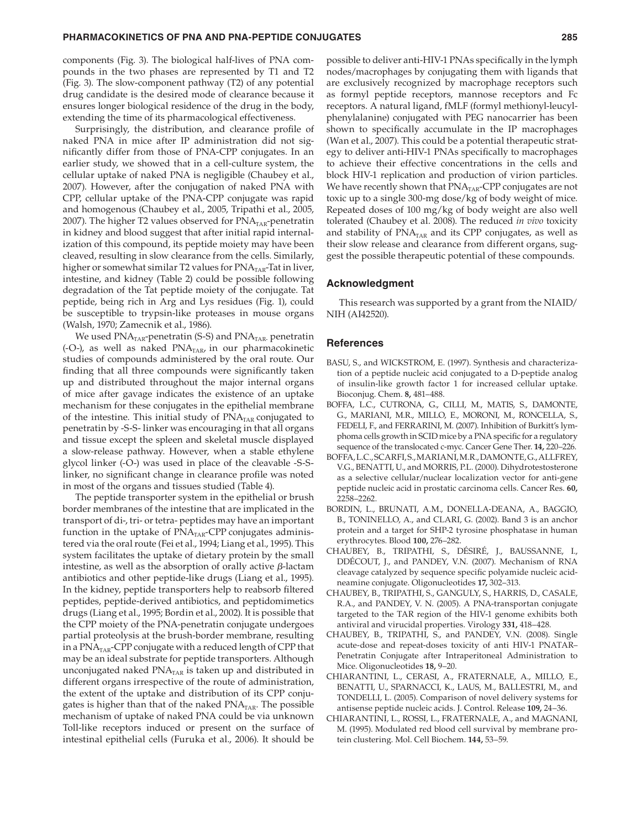components (Fig. 3). The biological half-lives of PNA compounds in the two phases are represented by T1 and T2 (Fig. 3). The slow-component pathway (T2) of any potential drug candidate is the desired mode of clearance because it ensures longer biological residence of the drug in the body, extending the time of its pharmacological effectiveness.

Surprisingly, the distribution, and clearance profile of naked PNA in mice after IP administration did not significantly differ from those of PNA-CPP conjugates. In an earlier study, we showed that in a cell-culture system, the cellular uptake of naked PNA is negligible (Chaubey et al., 2007). However, after the conjugation of naked PNA with CPP, cellular uptake of the PNA-CPP conjugate was rapid and homogenous (Chaubey et al., 2005, Tripathi et al., 2005, 2007). The higher T2 values observed for  $\text{PNA}_{\text{TAR}}$ -penetratin in kidney and blood suggest that after initial rapid internalization of this compound, its peptide moiety may have been cleaved, resulting in slow clearance from the cells. Similarly, higher or somewhat similar T2 values for  $\text{PNA}_{\text{TAR}}$ -Tat in liver, intestine, and kidney (Table 2) could be possible following degradation of the Tat peptide moiety of the conjugate. Tat peptide, being rich in Arg and Lys residues (Fig. 1), could be susceptible to trypsin-like proteases in mouse organs (Walsh, 1970; Zamecnik et al., 1986).

We used  $\text{PNA}_{\text{TAR}}$ -penetratin (S-S) and  $\text{PNA}_{\text{TAR}}$  penetratin (-O-), as well as naked  $PNA<sub>TAR</sub>$  in our pharmacokinetic studies of compounds administered by the oral route. Our finding that all three compounds were significantly taken up and distributed throughout the major internal organs of mice after gavage indicates the existence of an uptake mechanism for these conjugates in the epithelial membrane of the intestine. This initial study of  $\text{PNA}_{\text{TAR}}$  conjugated to penetratin by -S-S- linker was encouraging in that all organs and tissue except the spleen and skeletal muscle displayed a slow-release pathway. However, when a stable ethylene glycol linker (-O-) was used in place of the cleavable -S-Slinker, no significant change in clearance profile was noted in most of the organs and tissues studied (Table 4).

The peptide transporter system in the epithelial or brush border membranes of the intestine that are implicated in the transport of di-, tri- or tetra- peptides may have an important function in the uptake of  $PNA<sub>TAR</sub>-CPP$  conjugates administered via the oral route (Fei et al., 1994; Liang et al., 1995). This system facilitates the uptake of dietary protein by the small intestine, as well as the absorption of orally active β-lactam antibiotics and other peptide-like drugs (Liang et al., 1995). In the kidney, peptide transporters help to reabsorb filtered peptides, peptide-derived antibiotics, and peptidomimetics drugs (Liang et al., 1995; Bordin et al., 2002). It is possible that the CPP moiety of the PNA-penetratin conjugate undergoes partial proteolysis at the brush-border membrane, resulting in a PNA<sub>TAR</sub>-CPP conjugate with a reduced length of CPP that may be an ideal substrate for peptide transporters. Although unconjugated naked  $PNA<sub>TAR</sub>$  is taken up and distributed in different organs irrespective of the route of administration, the extent of the uptake and distribution of its CPP conjugates is higher than that of the naked  $\text{PNA}_{\text{TAR}}$ . The possible mechanism of uptake of naked PNA could be via unknown Toll-like receptors induced or present on the surface of intestinal epithelial cells (Furuka et al., 2006). It should be

possible to deliver anti-HIV-1 PNAs specifically in the lymph nodes/macrophages by conjugating them with ligands that are exclusively recognized by macrophage receptors such as formyl peptide receptors, mannose receptors and Fc receptors. A natural ligand, fMLF (formyl methionyl-leucylphenylalanine) conjugated with PEG nanocarrier has been shown to specifically accumulate in the IP macrophages (Wan et al., 2007). This could be a potential therapeutic strategy to deliver anti-HIV-1 PNAs specifically to macrophages to achieve their effective concentrations in the cells and block HIV-1 replication and production of virion particles. We have recently shown that  $\text{PNA}_{\text{TAR}}$ -CPP conjugates are not toxic up to a single 300-mg dose/kg of body weight of mice. Repeated doses of 100 mg/kg of body weight are also well tolerated (Chaubey et al. 2008). The reduced *in vivo* toxicity and stability of  $PNA<sub>TAR</sub>$  and its CPP conjugates, as well as their slow release and clearance from different organs, suggest the possible therapeutic potential of these compounds.

#### **Acknowledgment**

This research was supported by a grant from the NIAID/ NIH (AI42520).

#### **References**

- BASU, S., and WICKSTROM, E. (1997). Synthesis and characterization of a peptide nucleic acid conjugated to a D-peptide analog of insulin-like growth factor 1 for increased cellular uptake. Bioconjug. Chem. **8,** 481–488.
- BOFFA, L.C., CUTRONA, G., CILLI, M., MATIS, S., DAMONTE, G., MARIANI, M.R., MILLO, E., MORONI, M., RONCELLA, S., FEDELI, F., and FERRARINI, M. (2007). Inhibition of Burkitt's lymphoma cells growth in SCID mice by a PNA specific for a regulatory sequence of the translocated c-myc. Cancer Gene Ther. **14,** 220–226.
- BOFFA, L.C., SCARFI, S., MARIANI, M.R., DAMONTE, G., ALLFREY, V.G., BENATTI, U., and MORRIS, P.L. (2000). Dihydrotestosterone as a selective cellular/nuclear localization vector for anti-gene peptide nucleic acid in prostatic carcinoma cells. Cancer Res. **60,** 2258–2262.
- BORDIN, L., BRUNATI, A.M., DONELLA-DEANA, A., BAGGIO, B., TONINELLO, A., and CLARI, G. (2002). Band 3 is an anchor protein and a target for SHP-2 tyrosine phosphatase in human erythrocytes. Blood **100,** 276–282.
- CHAUBEY, B., TRIPATHI, S., DÉSIRÉ, J., BAUSSANNE, I., DDÉCOUT, J., and PANDEY, V.N. (2007). Mechanism of RNA cleavage catalyzed by sequence specific polyamide nucleic acidneamine conjugate. Oligonucleotides **17,** 302–313.
- CHAUBEY, B., TRIPATHI, S., GANGULY, S., HARRIS, D., CASALE, R.A., and PANDEY, V. N. (2005). A PNA-transportan conjugate targeted to the TAR region of the HIV-1 genome exhibits both antiviral and virucidal properties. Virology **331,** 418–428.
- CHAUBEY, B., TRIPATHI, S., and PANDEY, V.N. (2008). Single acute-dose and repeat-doses toxicity of anti HIV-1 PNATAR– Penetratin Conjugate after Intraperitoneal Administration to Mice. Oligonucleotides **18,** 9–20.
- CHIARANTINI, L., CERASI, A., FRATERNALE, A., MILLO, E., BENATTI, U., SPARNACCI, K., LAUS, M., BALLESTRI, M., and TONDELLI, L. (2005). Comparison of novel delivery systems for antisense peptide nucleic acids. J. Control. Release **109,** 24–36.
- CHIARANTINI, L., ROSSI, L., FRATERNALE, A., and MAGNANI, M. (1995). Modulated red blood cell survival by membrane protein clustering. Mol. Cell Biochem. **144,** 53–59.